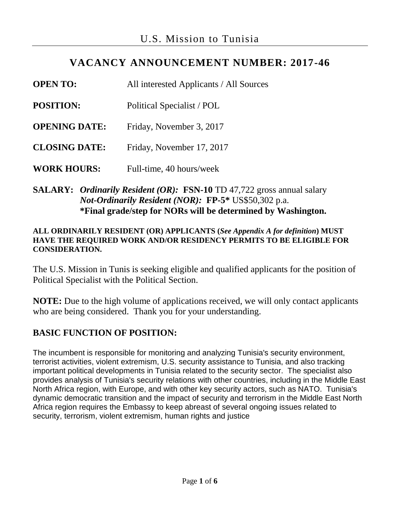# **VACANCY ANNOUNCEMENT NUMBER: 2017-46**

**OPEN TO:** All interested Applicants / All Sources **POSITION:** Political Specialist / POL **OPENING DATE:** Friday, November 3, 2017 **CLOSING DATE:** Friday, November 17, 2017 **WORK HOURS:** Full-time, 40 hours/week

### **SALARY:** *Ordinarily Resident (OR):* **FSN-10** TD 47,722 gross annual salary *Not-Ordinarily Resident (NOR):* **FP-5\*** US\$50,302 p.a. **\*Final grade/step for NORs will be determined by Washington.**

#### **ALL ORDINARILY RESIDENT (OR) APPLICANTS (***See Appendix A for definition***) MUST HAVE THE REQUIRED WORK AND/OR RESIDENCY PERMITS TO BE ELIGIBLE FOR CONSIDERATION.**

The U.S. Mission in Tunis is seeking eligible and qualified applicants for the position of Political Specialist with the Political Section.

**NOTE:** Due to the high volume of applications received, we will only contact applicants who are being considered. Thank you for your understanding.

### **BASIC FUNCTION OF POSITION:**

The incumbent is responsible for monitoring and analyzing Tunisia's security environment, terrorist activities, violent extremism, U.S. security assistance to Tunisia, and also tracking important political developments in Tunisia related to the security sector. The specialist also provides analysis of Tunisia's security relations with other countries, including in the Middle East North Africa region, with Europe, and with other key security actors, such as NATO. Tunisia's dynamic democratic transition and the impact of security and terrorism in the Middle East North Africa region requires the Embassy to keep abreast of several ongoing issues related to security, terrorism, violent extremism, human rights and justice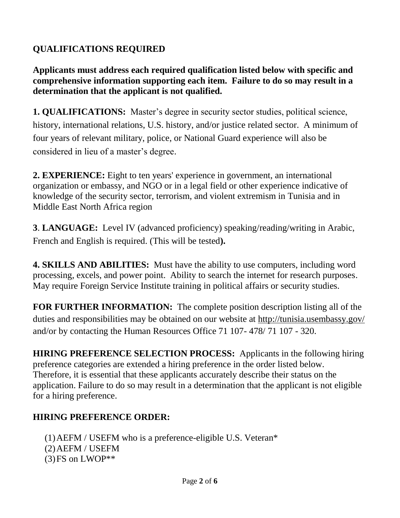# **QUALIFICATIONS REQUIRED**

**Applicants must address each required qualification listed below with specific and comprehensive information supporting each item. Failure to do so may result in a determination that the applicant is not qualified.**

**1. QUALIFICATIONS:** Master's degree in security sector studies, political science, history, international relations, U.S. history, and/or justice related sector. A minimum of four years of relevant military, police, or National Guard experience will also be considered in lieu of a master's degree.

**2. EXPERIENCE:** Eight to ten years' experience in government, an international organization or embassy, and NGO or in a legal field or other experience indicative of knowledge of the security sector, terrorism, and violent extremism in Tunisia and in Middle East North Africa region

**3**. **LANGUAGE:** Level IV (advanced proficiency) speaking/reading/writing in Arabic, French and English is required. (This will be tested**).** 

**4. SKILLS AND ABILITIES:** Must have the ability to use computers, including word processing, excels, and power point. Ability to search the internet for research purposes. May require Foreign Service Institute training in political affairs or security studies.

**FOR FURTHER INFORMATION:** The complete position description listing all of the duties and responsibilities may be obtained on our website at<http://tunisia.usembassy.gov/> and/or by contacting the Human Resources Office 71 107- 478/ 71 107 - 320.

**HIRING PREFERENCE SELECTION PROCESS:** Applicants in the following hiring preference categories are extended a hiring preference in the order listed below. Therefore, it is essential that these applicants accurately describe their status on the application. Failure to do so may result in a determination that the applicant is not eligible for a hiring preference.

# **HIRING PREFERENCE ORDER:**

(1)AEFM / USEFM who is a preference-eligible U.S. Veteran\* (2)AEFM / USEFM  $(3)$ FS on LWOP\*\*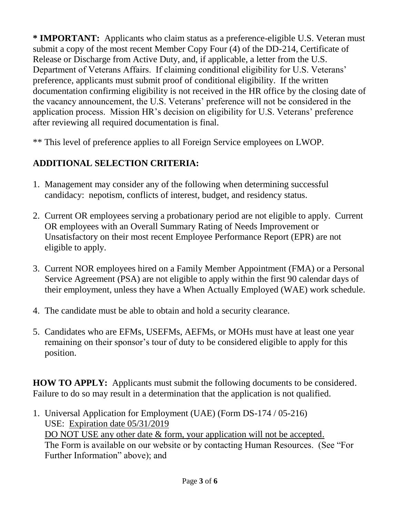**\* IMPORTANT:** Applicants who claim status as a preference-eligible U.S. Veteran must submit a copy of the most recent Member Copy Four (4) of the DD-214, Certificate of Release or Discharge from Active Duty, and, if applicable, a letter from the U.S. Department of Veterans Affairs. If claiming conditional eligibility for U.S. Veterans' preference, applicants must submit proof of conditional eligibility. If the written documentation confirming eligibility is not received in the HR office by the closing date of the vacancy announcement, the U.S. Veterans' preference will not be considered in the application process. Mission HR's decision on eligibility for U.S. Veterans' preference after reviewing all required documentation is final.

\*\* This level of preference applies to all Foreign Service employees on LWOP.

# **ADDITIONAL SELECTION CRITERIA:**

- 1. Management may consider any of the following when determining successful candidacy: nepotism, conflicts of interest, budget, and residency status.
- 2. Current OR employees serving a probationary period are not eligible to apply. Current OR employees with an Overall Summary Rating of Needs Improvement or Unsatisfactory on their most recent Employee Performance Report (EPR) are not eligible to apply.
- 3. Current NOR employees hired on a Family Member Appointment (FMA) or a Personal Service Agreement (PSA) are not eligible to apply within the first 90 calendar days of their employment, unless they have a When Actually Employed (WAE) work schedule.
- 4. The candidate must be able to obtain and hold a security clearance.
- 5. Candidates who are EFMs, USEFMs, AEFMs, or MOHs must have at least one year remaining on their sponsor's tour of duty to be considered eligible to apply for this position.

**HOW TO APPLY:** Applicants must submit the following documents to be considered. Failure to do so may result in a determination that the application is not qualified.

1. Universal Application for Employment (UAE) (Form DS-174 / 05-216) USE: Expiration date 05/31/2019 DO NOT USE any other date & form, your application will not be accepted. The Form is available on our website or by contacting Human Resources. (See "For Further Information" above); and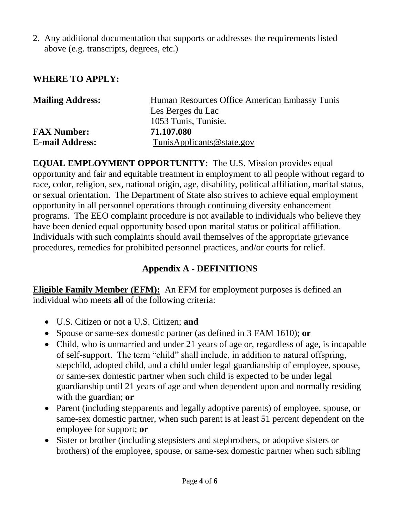2. Any additional documentation that supports or addresses the requirements listed above (e.g. transcripts, degrees, etc.)

### **WHERE TO APPLY:**

| <b>Mailing Address:</b> | Human Resources Office American Embassy Tunis |
|-------------------------|-----------------------------------------------|
|                         | Les Berges du Lac                             |
|                         | 1053 Tunis, Tunisie.                          |
| <b>FAX Number:</b>      | 71.107.080                                    |
| <b>E-mail Address:</b>  | TunisApplicants@state.gov                     |

**EQUAL EMPLOYMENT OPPORTUNITY:** The U.S. Mission provides equal opportunity and fair and equitable treatment in employment to all people without regard to race, color, religion, sex, national origin, age, disability, political affiliation, marital status, or sexual orientation. The Department of State also strives to achieve equal employment opportunity in all personnel operations through continuing diversity enhancement programs. The EEO complaint procedure is not available to individuals who believe they have been denied equal opportunity based upon marital status or political affiliation. Individuals with such complaints should avail themselves of the appropriate grievance procedures, remedies for prohibited personnel practices, and/or courts for relief.

### **Appendix A - DEFINITIONS**

**Eligible Family Member (EFM):** An EFM for employment purposes is defined an individual who meets **all** of the following criteria:

- U.S. Citizen or not a U.S. Citizen; **and**
- Spouse or same-sex domestic partner (as defined in [3 FAM 1610\)](http://arpsdir.a.state.gov/fam/03fam/03fam1610.html); **or**
- Child, who is unmarried and under 21 years of age or, regardless of age, is incapable of self-support. The term "child" shall include, in addition to natural offspring, stepchild, adopted child, and a child under legal guardianship of employee, spouse, or same-sex domestic partner when such child is expected to be under legal guardianship until 21 years of age and when dependent upon and normally residing with the guardian; **or**
- Parent (including stepparents and legally adoptive parents) of employee, spouse, or same-sex domestic partner, when such parent is at least 51 percent dependent on the employee for support; **or**
- Sister or brother (including stepsisters and stepbrothers, or adoptive sisters or brothers) of the employee, spouse, or same-sex domestic partner when such sibling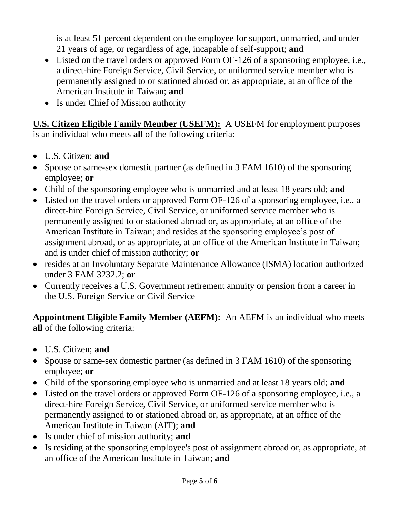is at least 51 percent dependent on the employee for support, unmarried, and under 21 years of age, or regardless of age, incapable of self-support; **and**

- Listed on the travel orders or approved Form OF-126 of a sponsoring employee, i.e., a direct-hire Foreign Service, Civil Service, or uniformed service member who is permanently assigned to or stationed abroad or, as appropriate, at an office of the American Institute in Taiwan; **and**
- Is under Chief of Mission authority

**U.S. Citizen Eligible Family Member (USEFM):** A USEFM for employment purposes is an individual who meets **all** of the following criteria:

- U.S. Citizen; **and**
- Spouse or same-sex domestic partner (as defined in 3 FAM 1610) of the sponsoring employee; **or**
- Child of the sponsoring employee who is unmarried and at least 18 years old; **and**
- Listed on the travel orders or approved Form OF-126 of a sponsoring employee, i.e., a direct-hire Foreign Service, Civil Service, or uniformed service member who is permanently assigned to or stationed abroad or, as appropriate, at an office of the American Institute in Taiwan; and resides at the sponsoring employee's post of assignment abroad, or as appropriate, at an office of the American Institute in Taiwan; and is under chief of mission authority; **or**
- resides at an Involuntary Separate Maintenance Allowance (ISMA) location authorized under 3 FAM 3232.2; **or**
- Currently receives a U.S. Government retirement annuity or pension from a career in the U.S. Foreign Service or Civil Service

**Appointment Eligible Family Member (AEFM):** An AEFM is an individual who meets **all** of the following criteria:

- U.S. Citizen; **and**
- Spouse or same-sex domestic partner (as defined in [3 FAM 1610\)](http://arpsdir.a.state.gov/fam/03fam/03fam1610.html) of the sponsoring employee; **or**
- Child of the sponsoring employee who is unmarried and at least 18 years old; **and**
- Listed on the travel orders or approved Form OF-126 of a sponsoring employee, i.e., a direct-hire Foreign Service, Civil Service, or uniformed service member who is permanently assigned to or stationed abroad or, as appropriate, at an office of the American Institute in Taiwan (AIT); **and**
- Is under chief of mission authority; **and**
- Is residing at the sponsoring employee's post of assignment abroad or, as appropriate, at an office of the American Institute in Taiwan; **and**